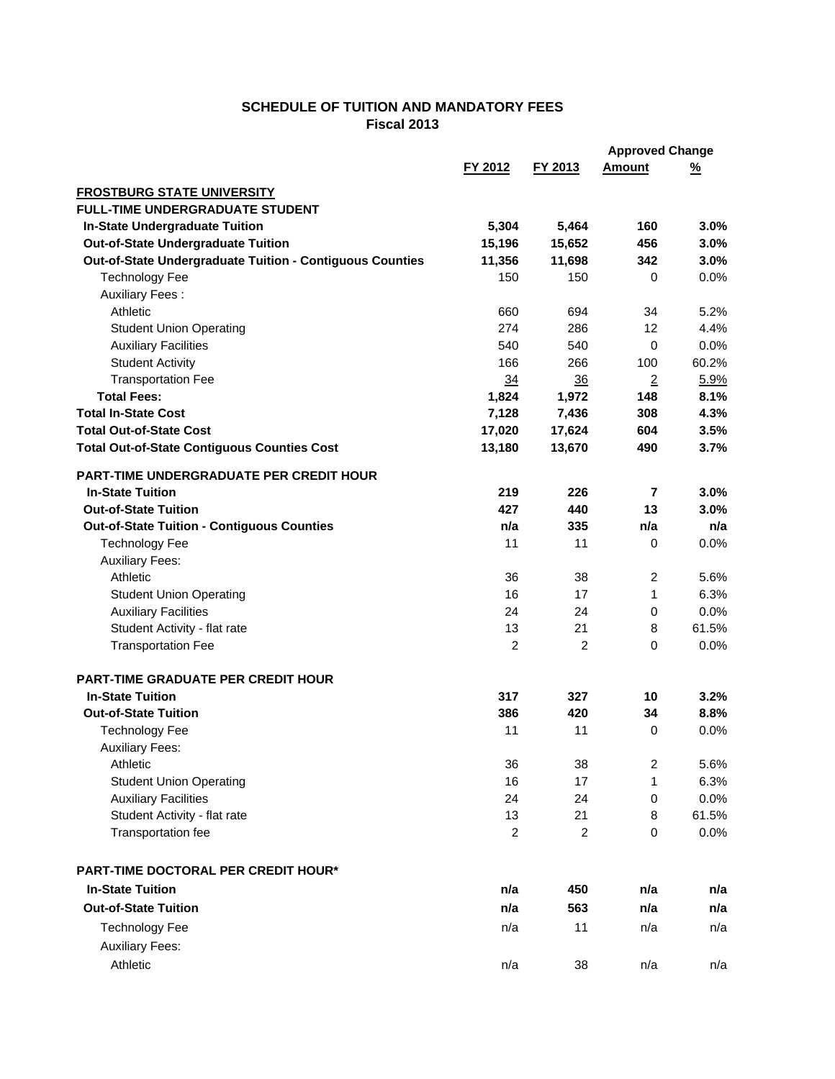## **SCHEDULE OF TUITION AND MANDATORY FEES Fiscal 2013**

|                                                          |                |                | <b>Approved Change</b> |          |
|----------------------------------------------------------|----------------|----------------|------------------------|----------|
|                                                          | FY 2012        | FY 2013        | <b>Amount</b>          | <u>%</u> |
| <b>FROSTBURG STATE UNIVERSITY</b>                        |                |                |                        |          |
| <b>FULL-TIME UNDERGRADUATE STUDENT</b>                   |                |                |                        |          |
| <b>In-State Undergraduate Tuition</b>                    | 5,304          | 5,464          | 160                    | 3.0%     |
| <b>Out-of-State Undergraduate Tuition</b>                | 15,196         | 15,652         | 456                    | 3.0%     |
| Out-of-State Undergraduate Tuition - Contiguous Counties | 11,356         | 11,698         | 342                    | 3.0%     |
| <b>Technology Fee</b>                                    | 150            | 150            | 0                      | 0.0%     |
| <b>Auxiliary Fees:</b>                                   |                |                |                        |          |
| Athletic                                                 | 660            | 694            | 34                     | 5.2%     |
| <b>Student Union Operating</b>                           | 274            | 286            | 12                     | 4.4%     |
| <b>Auxiliary Facilities</b>                              | 540            | 540            | $\mathbf 0$            | 0.0%     |
| <b>Student Activity</b>                                  | 166            | 266            | 100                    | 60.2%    |
| <b>Transportation Fee</b>                                | $\frac{34}{5}$ | 36             | $\overline{2}$         | 5.9%     |
| <b>Total Fees:</b>                                       | 1,824          | 1,972          | 148                    | 8.1%     |
| <b>Total In-State Cost</b>                               | 7,128          | 7,436          | 308                    | 4.3%     |
| <b>Total Out-of-State Cost</b>                           | 17,020         | 17,624         | 604                    | 3.5%     |
| <b>Total Out-of-State Contiguous Counties Cost</b>       | 13,180         | 13,670         | 490                    | 3.7%     |
| <b>PART-TIME UNDERGRADUATE PER CREDIT HOUR</b>           |                |                |                        |          |
| <b>In-State Tuition</b>                                  | 219            | 226            | 7                      | 3.0%     |
| <b>Out-of-State Tuition</b>                              | 427            | 440            | 13                     | 3.0%     |
| <b>Out-of-State Tuition - Contiguous Counties</b>        | n/a            | 335            | n/a                    | n/a      |
| <b>Technology Fee</b>                                    | 11             | 11             | $\pmb{0}$              | 0.0%     |
| <b>Auxiliary Fees:</b>                                   |                |                |                        |          |
| Athletic                                                 | 36             | 38             | 2                      | 5.6%     |
| <b>Student Union Operating</b>                           | 16             | 17             | 1                      | 6.3%     |
| <b>Auxiliary Facilities</b>                              | 24             | 24             | $\mathbf 0$            | 0.0%     |
| Student Activity - flat rate                             | 13             | 21             | 8                      | 61.5%    |
| <b>Transportation Fee</b>                                | $\overline{2}$ | 2              | 0                      | 0.0%     |
| <b>PART-TIME GRADUATE PER CREDIT HOUR</b>                |                |                |                        |          |
| <b>In-State Tuition</b>                                  | 317            | 327            | 10                     | 3.2%     |
| <b>Out-of-State Tuition</b>                              | 386            | 420            | 34                     | 8.8%     |
| <b>Technology Fee</b>                                    | 11             | 11             | 0                      | 0.0%     |
| <b>Auxiliary Fees:</b>                                   |                |                |                        |          |
| Athletic                                                 | 36             | 38             | $\overline{c}$         | 5.6%     |
| <b>Student Union Operating</b>                           | 16             | 17             | 1                      | 6.3%     |
| <b>Auxiliary Facilities</b>                              | 24             | 24             | 0                      | 0.0%     |
| Student Activity - flat rate                             | 13             | 21             | 8                      | 61.5%    |
| Transportation fee                                       | $\overline{c}$ | $\overline{c}$ | 0                      | 0.0%     |
|                                                          |                |                |                        |          |
| PART-TIME DOCTORAL PER CREDIT HOUR*                      |                |                |                        |          |
| <b>In-State Tuition</b>                                  | n/a            | 450            | n/a                    | n/a      |
| <b>Out-of-State Tuition</b>                              | n/a            | 563            | n/a                    | n/a      |
| <b>Technology Fee</b>                                    | n/a            | 11             | n/a                    | n/a      |
| <b>Auxiliary Fees:</b>                                   |                |                |                        |          |
| Athletic                                                 | n/a            | 38             | n/a                    | n/a      |